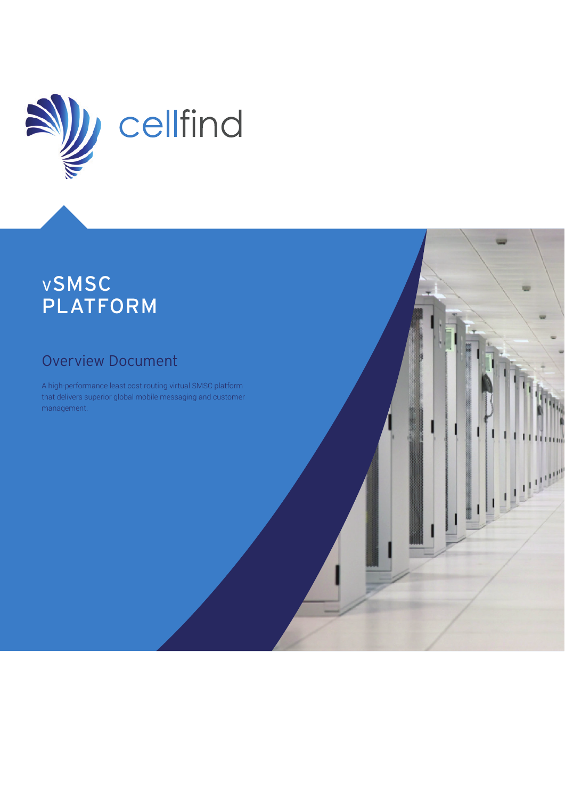

# <sup>v</sup>SMSC PLATFORM

# Overview Document

A high-performance least cost routing virtual SMSC platform that delivers superior global mobile messaging and customer management.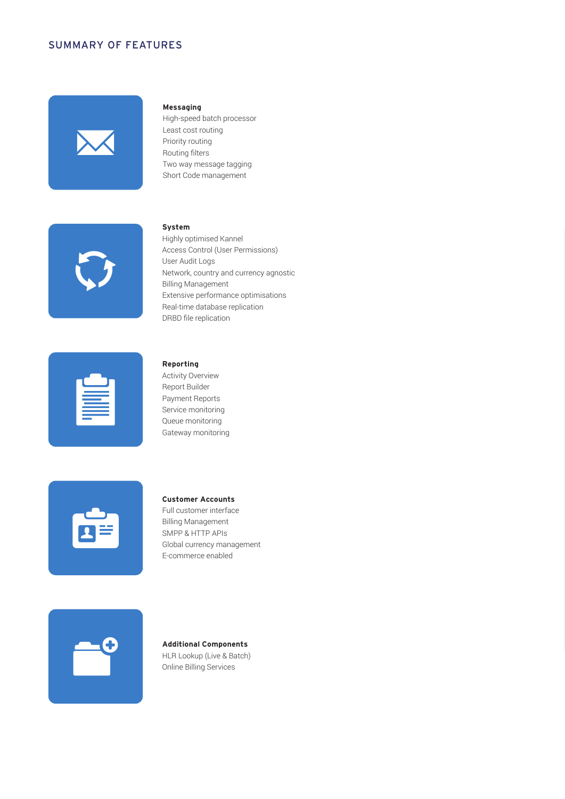### SUMMARY OF FEATURES



#### **Messaging**

High-speed batch processor Least cost routing Priority routing Routing filters Two way message tagging Short Code management



### **System**

Highly optimised Kannel Access Control (User Permissions) User Audit Logs Network, country and currency agnostic Billing Management Extensive performance optimisations Real-time database replication DRBD file replication

| the control of the control of the<br>the control of the control of the |  |
|------------------------------------------------------------------------|--|
|                                                                        |  |
|                                                                        |  |
|                                                                        |  |

#### **Reporting**

Activity Overview Report Builder Payment Reports Service monitoring Queue monitoring Gateway monitoring

| $\mathbf{z}$ |  |
|--------------|--|
|              |  |

### **Customer Accounts**

Full customer interface Billing Management SMPP & HTTP APIs Global currency management E-commerce enabled



### **Additional Components**

HLR Lookup (Live & Batch) Online Billing Services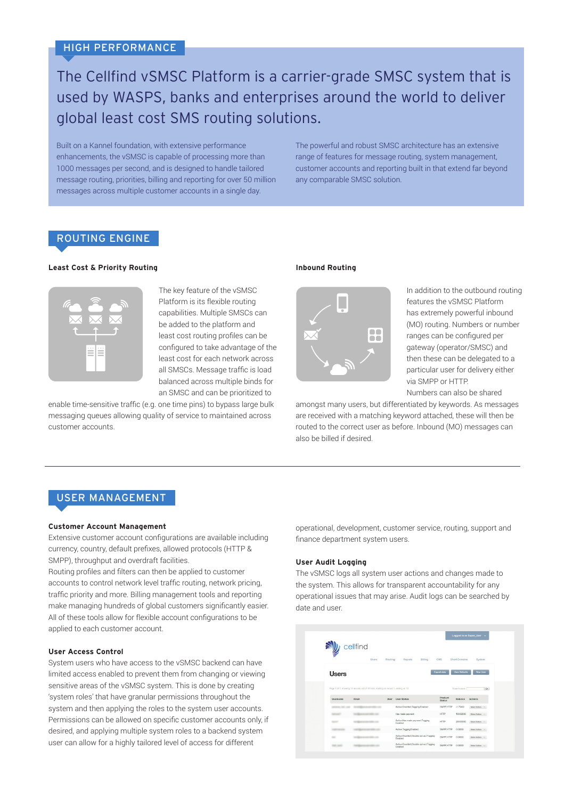# The Cellfind vSMSC Platform is a carrier-grade SMSC system that is used by WASPS, banks and enterprises around the world to deliver global least cost SMS routing solutions.

Built on a Kannel foundation, with extensive performance enhancements, the vSMSC is capable of processing more than 1000 messages per second, and is designed to handle tailored message routing, priorities, billing and reporting for over 50 million messages across multiple customer accounts in a single day.

The powerful and robust SMSC architecture has an extensive range of features for message routing, system management, customer accounts and reporting built in that extend far beyond any comparable SMSC solution.

# ROUTING ENGINE

#### **Least Cost & Priority Routing**



The key feature of the vSMSC Platform is its flexible routing capabilities. Multiple SMSCs can be added to the platform and least cost routing profiles can be configured to take advantage of the least cost for each network across all SMSCs. Message traffic is load balanced across multiple binds for an SMSC and can be prioritized to

enable time-sensitive traffic (e.g. one time pins) to bypass large bulk messaging queues allowing quality of service to maintained across customer accounts.

#### **Inbound Routing**



In addition to the outbound routing features the vSMSC Platform has extremely powerful inbound (MO) routing. Numbers or number ranges can be configured per gateway (operator/SMSC) and then these can be delegated to a particular user for delivery either via SMPP or HTTP. Numbers can also be shared

amongst many users, but differentiated by keywords. As messages are received with a matching keyword attached, these will then be routed to the correct user as before. Inbound (MO) messages can also be billed if desired.

# USER MANAGEMENT

#### **Customer Account Management**

Extensive customer account configurations are available including currency, country, default prefixes, allowed protocols (HTTP & SMPP), throughput and overdraft facilities.

Routing profiles and filters can then be applied to customer accounts to control network level traffic routing, network pricing, traffic priority and more. Billing management tools and reporting make managing hundreds of global customers significantly easier. All of these tools allow for flexible account configurations to be applied to each customer account.

#### **User Access Control**

System users who have access to the vSMSC backend can have limited access enabled to prevent them from changing or viewing sensitive areas of the vSMSC system. This is done by creating 'system roles' that have granular permissions throughout the system and then applying the roles to the system user accounts. Permissions can be allowed on specific customer accounts only, if desired, and applying multiple system roles to a backend system user can allow for a highly tailored level of access for different

operational, development, customer service, routing, support and finance department system users.

#### **User Audit Logging**

The vSMSC logs all system user actions and changes made to the system. This allows for transparent accountability for any operational issues that may arise. Audit logs can be searched by date and user.

|              |                                                                                     |         |                                                        |                    |                      | Logged in as Super_User - |
|--------------|-------------------------------------------------------------------------------------|---------|--------------------------------------------------------|--------------------|----------------------|---------------------------|
|              | cellfind<br>Users                                                                   | Routing | Reports<br>$B = nq$                                    | CMS                | <b>Short Domains</b> | System                    |
| <b>Users</b> |                                                                                     |         |                                                        | <b>Export data</b> | <b>User Defaults</b> | New User                  |
|              | Page 1 of 1, showing 14 records out of 14 total, starting on record 1, ending on 14 |         |                                                        |                    | Search users:        | Ge                        |
| Usemame      | Email                                                                               |         | User Status                                            | Product            |                      |                           |
|              |                                                                                     | User    |                                                        | Status             | Balance              | Actions                   |
|              |                                                                                     |         | Active: Overdraft: Tagging Enabled                     | SMPP:HTTP          | $-1.75400$           | Select Action             |
|              |                                                                                     |         | Has made payment                                       | HTTP               | 100.02000            | Select Action             |
|              |                                                                                     |         | Active; Has made payment; Tagging<br>Enabled           | <b>HTTP</b>        | 200,00000            | Select Action             |
|              |                                                                                     |         | Active: Tagging Enabled                                | SMPP:HTTP          | 0.00000              | Salact Action             |
| $\sim$       |                                                                                     |         | Active; Overdraft; Disable opt-out; Tagging<br>Enabled | SMPP:HTTP          | 0.00000              | Select Action             |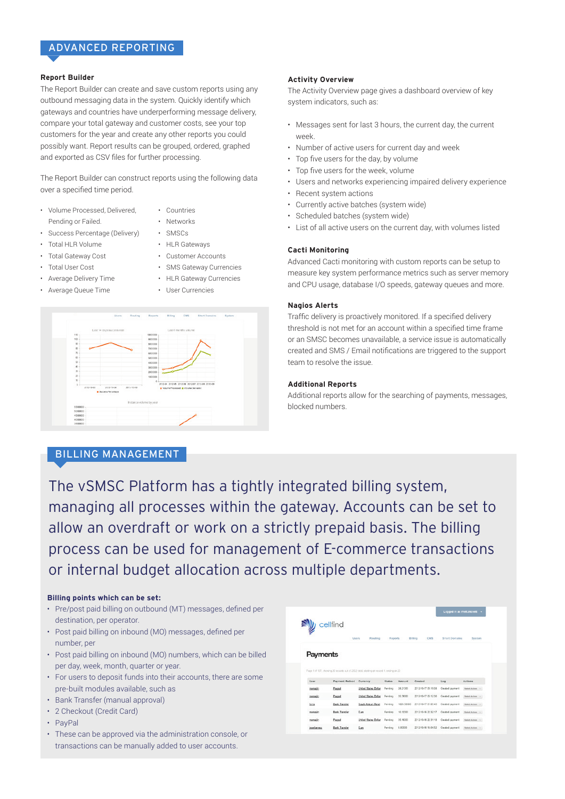# ADVANCED REPORTING

### **Report Builder**

The Report Builder can create and save custom reports using any outbound messaging data in the system. Quickly identify which gateways and countries have underperforming message delivery, compare your total gateway and customer costs, see your top customers for the year and create any other reports you could possibly want. Report results can be grouped, ordered, graphed and exported as CSV files for further processing.

The Report Builder can construct reports using the following data over a specified time period.

- Volume Processed, Delivered, Pending or Failed.
- Countries

• HLR Gateways • Customer Accounts

- Networks • SMSCs
- Success Percentage (Delivery)
- Total HLR Volume
- Total Gateway Cost
- Total User Cost
- Average Delivery Time
- Average Queue Time
- SMS Gateway Currencies • HLR Gateway Currencies • User Currencies



#### **Activity Overview**

The Activity Overview page gives a dashboard overview of key system indicators, such as:

- Messages sent for last 3 hours, the current day, the current week.
- Number of active users for current day and week
- Top five users for the day, by volume
- Top five users for the week, volume
- Users and networks experiencing impaired delivery experience
- Recent system actions
- Currently active batches (system wide)
- Scheduled batches (system wide)
- List of all active users on the current day, with volumes listed

#### **Cacti Monitoring**

Advanced Cacti monitoring with custom reports can be setup to measure key system performance metrics such as server memory and CPU usage, database I/O speeds, gateway queues and more.

#### **Nagios Alerts**

Traffic delivery is proactively monitored. If a specified delivery threshold is not met for an account within a specified time frame or an SMSC becomes unavailable, a service issue is automatically created and SMS / Email notifications are triggered to the support team to resolve the issue.

#### **Additional Reports**

Additional reports allow for the searching of payments, messages, blocked numbers.

# BILLING MANAGEMENT

The vSMSC Platform has a tightly integrated billing system, managing all processes within the gateway. Accounts can be set to allow an overdraft or work on a strictly prepaid basis. The billing process can be used for management of E-commerce transactions or internal budget allocation across multiple departments.

#### **Billing points which can be set:**

- Pre/post paid billing on outbound (MT) messages, defined per destination, per operator.
- Post paid billing on inbound (MO) messages, defined per number, per
- Post paid billing on inbound (MO) numbers, which can be billed per day, week, month, quarter or year.
- For users to deposit funds into their accounts, there are some pre-built modules available, such as
- Bank Transfer (manual approval)
- 2 Checkout (Credit Card)
- PayPal
- These can be approved via the administration console, or transactions can be manually added to user accounts.

|           | cellfind<br>Users                                                                       | Routing              |               |                  |                     |                      |                           |
|-----------|-----------------------------------------------------------------------------------------|----------------------|---------------|------------------|---------------------|----------------------|---------------------------|
|           |                                                                                         |                      |               |                  |                     |                      |                           |
|           |                                                                                         |                      | Reports       |                  | Billing<br>CMS      | <b>Short Domains</b> | System                    |
|           |                                                                                         |                      |               |                  |                     |                      |                           |
| Payments  |                                                                                         |                      |               |                  |                     |                      |                           |
|           |                                                                                         |                      |               |                  |                     |                      |                           |
|           | Page 1 of 127, showing 20 records out of 2532 total, storting on record 1, oxding on 20 |                      |               |                  |                     |                      |                           |
|           |                                                                                         |                      |               |                  |                     |                      |                           |
| User      | Payment Method                                                                          | Cumency              | <b>Status</b> | Amount           | Created             | Log                  | Actions                   |
| menaio    | <b>Pagel</b>                                                                            | United States Dollar | Pending       | 28.21000         | 3013-10-17 06:18:08 | Created payment      | Salest Action (1)         |
| memain    | Pagel                                                                                   | United States Dollar | Pending       | 55,59000         | 2012-10-17 05:12:58 | Created payment      | <b>Salest Action [10]</b> |
| fams.     | Back Transfer                                                                           | South African Rand   | Pending       | 1026 00000       | 2012-10-17 01:00:40 | Created payment      | Belaut Action  y          |
| montality | <b>Bank Transfer</b>                                                                    | Euro                 | Pending       | 10,12000         | 2012-10-96 22:32:17 | Created payment      | Salest Auton              |
| mensain   | Payed                                                                                   | United States Dollar | Pending       | <b>35, 56000</b> | 2012-10-98 22:31:18 | Created payment      | Salest Artists U          |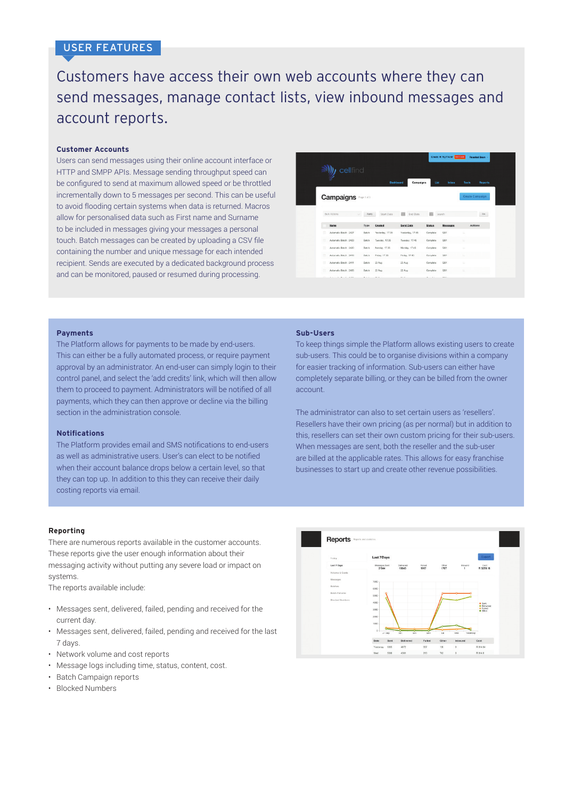# USER FEATURES

# Customers have access their own web accounts where they can send messages, manage contact lists, view inbound messages and account reports.

#### **Customer Accounts**

Users can send messages using their online account interface or HTTP and SMPP APIs. Message sending throughput speed can be configured to send at maximum allowed speed or be throttled incrementally down to 5 messages per second. This can be useful to avoid flooding certain systems when data is returned. Macros allow for personalised data such as First name and Surname to be included in messages giving your messages a personal touch. Batch messages can be created by uploading a CSV file containing the number and unique message for each intended recipient. Sends are executed by a dedicated background process and can be monitored, paused or resumed during processing.

| cellfind                                 |              |                  |                               |               |                 |                         |
|------------------------------------------|--------------|------------------|-------------------------------|---------------|-----------------|-------------------------|
|                                          |              |                  |                               |               |                 |                         |
|                                          |              |                  | <b>Dashboard</b><br>Campaigns | List          | Inbox           | Tools<br><b>Reports</b> |
|                                          |              |                  |                               |               |                 |                         |
| <b>Campaigns</b>                         |              |                  |                               |               |                 | <b>Create Campaign</b>  |
|                                          |              |                  |                               |               |                 |                         |
|                                          |              |                  |                               |               |                 |                         |
| <b>Bulk Actions</b><br>×                 | Apply        | Start Date       | m<br>End Date                 | 四             | Search          | Go                      |
| <b>Name</b>                              | Type         | Created          | <b>Send Date</b>              | <b>Status</b> | <b>Messages</b> | <b>Actions</b>          |
| ū<br>Automatic Batch : 2427              | <b>Batch</b> | Yesterday, 17:35 | Yesterday, 17:45              | Complete      | 5201            | <b>SE</b>               |
| Automatic Batch: 2423                    | Batch        | Tuesday, 17:35   | Tuesday, 17:45                | Complete      | 5201            | ×                       |
| m<br>Automatic Batch: 2420               | Batch        | Nonday, 17:35    | Monday, 17:45                 | Complete      | 5201            | $\mathbb{R}^2$          |
| $\overline{1}$<br>Automatic Batch . 2410 | <b>Datch</b> | Fidey, 17.35     | Friday, 17.45                 | Complete      | 5201            | ×                       |
| $\overline{u}$<br>Automatic Batch: 2411  | Batch        | 23 Aug           | 23 Aug                        | Complete      | 5201            | <b>b</b>                |
|                                          |              |                  |                               | Complete      | 6201            | <b>IE</b>               |
| $\mathbb{R}$<br>Automatic Batch: 2405    | Batch        | $22$ Aug         | $22$ Aug.                     |               |                 |                         |

#### **Payments**

The Platform allows for payments to be made by end-users. This can either be a fully automated process, or require payment approval by an administrator. An end-user can simply login to their control panel, and select the 'add credits' link, which will then allow them to proceed to payment. Administrators will be notified of all payments, which they can then approve or decline via the billing section in the administration console.

#### **Notifications**

The Platform provides email and SMS notifications to end-users as well as administrative users. User's can elect to be notified when their account balance drops below a certain level, so that they can top up. In addition to this they can receive their daily costing reports via email.

#### **Reporting**

There are numerous reports available in the customer accounts. These reports give the user enough information about their messaging activity without putting any severe load or impact on systems.

The reports available include:

- Messages sent, delivered, failed, pending and received for the current day.
- Messages sent, delivered, failed, pending and received for the last 7 days.
- Network volume and cost reports
- Message logs including time, status, content, cost.
- Batch Campaign reports
- Blocked Numbers

#### **Sub-Users**

To keep things simple the Platform allows existing users to create sub-users. This could be to organise divisions within a company for easier tracking of information. Sub-users can either have completely separate billing, or they can be billed from the owner account.

The administrator can also to set certain users as 'resellers'. Resellers have their own pricing (as per normal) but in addition to this, resellers can set their own custom pricing for their sub-users. When messages are sent, both the reseller and the sub-user are billed at the applicable rates. This allows for easy franchise businesses to start up and create other revenue possibilities.